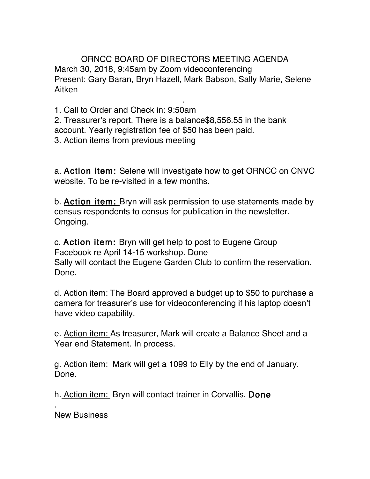ORNCC BOARD OF DIRECTORS MEETING AGENDA March 30, 2018, 9:45am by Zoom videoconferencing Present: Gary Baran, Bryn Hazell, Mark Babson, Sally Marie, Selene Aitken

.

1. Call to Order and Check in: 9:50am 2. Treasurer's report. There is a balance\$8,556.55 in the bank account. Yearly registration fee of \$50 has been paid. 3. Action items from previous meeting

a. Action item: Selene will investigate how to get ORNCC on CNVC website. To be re-visited in a few months.

b. Action item: Bryn will ask permission to use statements made by census respondents to census for publication in the newsletter. Ongoing.

c. Action item: Bryn will get help to post to Eugene Group Facebook re April 14-15 workshop. Done Sally will contact the Eugene Garden Club to confirm the reservation. Done.

d. Action item: The Board approved a budget up to \$50 to purchase a camera for treasurer's use for videoconferencing if his laptop doesn't have video capability.

e. Action item: As treasurer, Mark will create a Balance Sheet and a Year end Statement. In process.

g. Action item: Mark will get a 1099 to Elly by the end of January. Done.

h. Action item: Bryn will contact trainer in Corvallis. Done

New Business

.